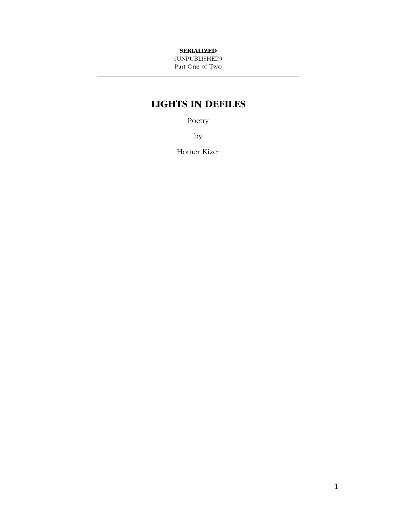#### **SERIALIZED**

(UNPUBLISHED) Part One of Two \_\_\_\_\_\_\_\_\_\_\_\_\_\_\_\_\_\_\_\_\_\_\_\_\_\_\_\_\_\_\_\_\_\_\_\_\_\_\_\_\_\_\_\_\_\_\_\_\_\_\_\_

# **LIGHTS IN DEFILES**

Poetry

by

Homer Kizer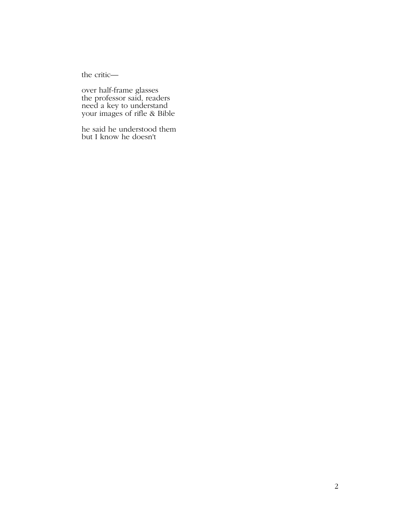the critic—

over half-frame glasses the professor said, readers need a key to understand your images of rifle & Bible

he said he understood them but I know he doesn't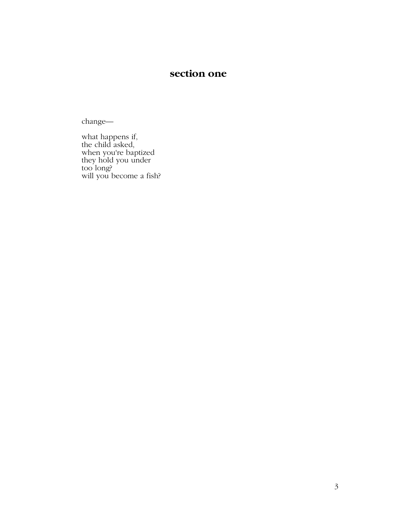## **section one**

change—

what happens if, the child asked, when you're baptized they hold you under too long? will you become a fish?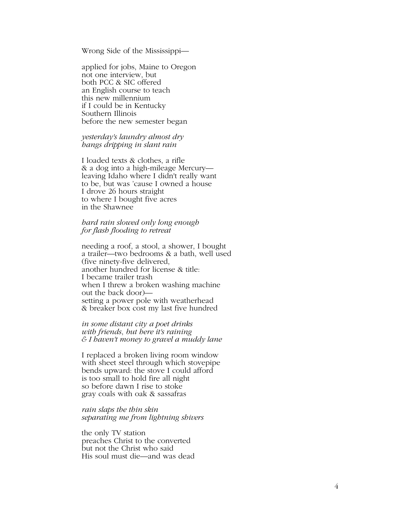Wrong Side of the Mississippi—

applied for jobs, Maine to Oregon not one interview, but both PCC & SIC offered an English course to teach this new millennium if I could be in Kentucky Southern Illinois before the new semester began

*yesterday's laundry almost dry hangs dripping in slant rain* 

I loaded texts & clothes, a rifle & a dog into a high-mileage Mercury leaving Idaho where I didn't really want to be, but was 'cause I owned a house I drove 26 hours straight to where I bought five acres in the Shawnee

#### *hard rain slowed only long enough for flash flooding to retreat*

needing a roof, a stool, a shower, I bought a trailer—two bedrooms & a bath, well used (five ninety-five delivered, another hundred for license & title: I became trailer trash when I threw a broken washing machine out the back door) setting a power pole with weatherhead & breaker box cost my last five hundred

#### *in some distant city a poet drinks with friends*, *but here it's raining & I haven't money to gravel a muddy lane*

I replaced a broken living room window with sheet steel through which stovepipe bends upward: the stove I could afford is too small to hold fire all night so before dawn I rise to stoke gray coals with oak & sassafras

*rain slaps the thin skin separating me from lightning shivers* 

the only TV station preaches Christ to the converted but not the Christ who said His soul must die—and was dead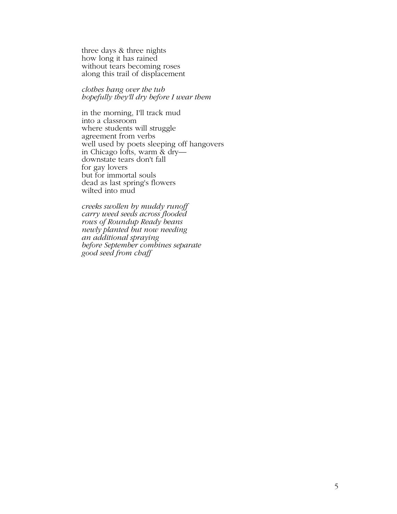three days & three nights how long it has rained without tears becoming roses along this trail of displacement

*clothes hang over the tub hopefully they'll dry before I wear them* 

in the morning, I'll track mud into a classroom where students will struggle agreement from verbs well used by poets sleeping off hangovers in Chicago lofts, warm & dry downstate tears don't fall for gay lovers but for immortal souls dead as last spring's flowers wilted into mud

*creeks swollen by muddy runoff carry weed seeds across flooded rows of Roundup Ready beans newly planted but now needing an additional spraying before September combines separate good seed from chaff*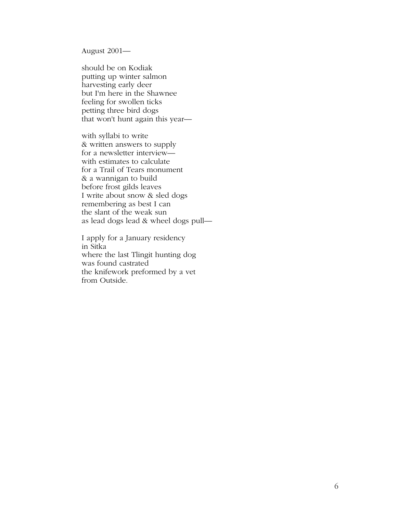August 2001—

should be on Kodiak putting up winter salmon harvesting early deer but I'm here in the Shawnee feeling for swollen ticks petting three bird dogs that won't hunt again this year—

with syllabi to write & written answers to supply for a newsletter interview with estimates to calculate for a Trail of Tears monument & a wannigan to build before frost gilds leaves I write about snow & sled dogs remembering as best I can the slant of the weak sun as lead dogs lead & wheel dogs pull—

I apply for a January residency in Sitka where the last Tlingit hunting dog was found castrated the knifework preformed by a vet from Outside.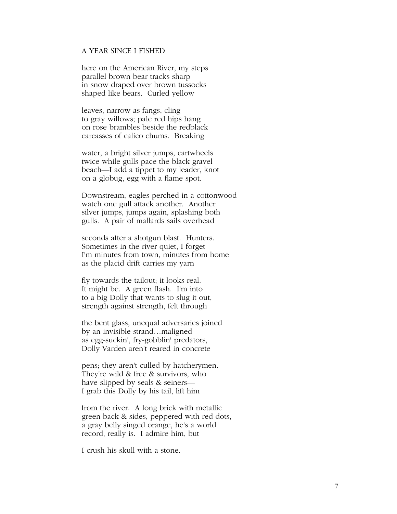#### A YEAR SINCE I FISHED

here on the American River, my steps parallel brown bear tracks sharp in snow draped over brown tussocks shaped like bears. Curled yellow

leaves, narrow as fangs, cling to gray willows; pale red hips hang on rose brambles beside the redblack carcasses of calico chums. Breaking

water, a bright silver jumps, cartwheels twice while gulls pace the black gravel beach—I add a tippet to my leader, knot on a globug, egg with a flame spot.

Downstream, eagles perched in a cottonwood watch one gull attack another. Another silver jumps, jumps again, splashing both gulls. A pair of mallards sails overhead

seconds after a shotgun blast. Hunters. Sometimes in the river quiet, I forget I'm minutes from town, minutes from home as the placid drift carries my yarn

fly towards the tailout; it looks real. It might be. A green flash. I'm into to a big Dolly that wants to slug it out, strength against strength, felt through

the bent glass, unequal adversaries joined by an invisible strand…maligned as egg-suckin', fry-gobblin' predators, Dolly Varden aren't reared in concrete

pens; they aren't culled by hatcherymen. They're wild & free & survivors, who have slipped by seals & seiners— I grab this Dolly by his tail, lift him

from the river. A long brick with metallic green back & sides, peppered with red dots, a gray belly singed orange, he's a world record, really is. I admire him, but

I crush his skull with a stone.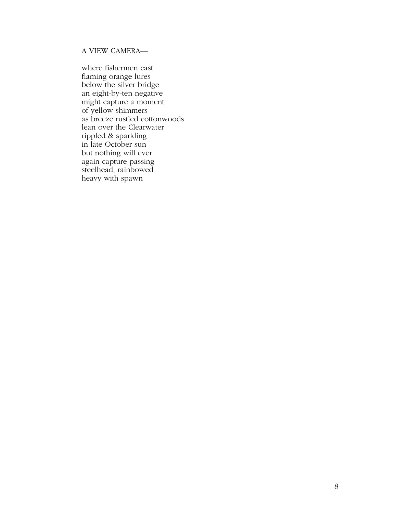## A VIEW CAMERA—

where fishermen cast flaming orange lures below the silver bridge an eight-by-ten negative might capture a moment of yellow shimmers as breeze rustled cottonwoods lean over the Clearwater rippled & sparkling in late October sun but nothing will ever again capture passing steelhead, rainbowed heavy with spawn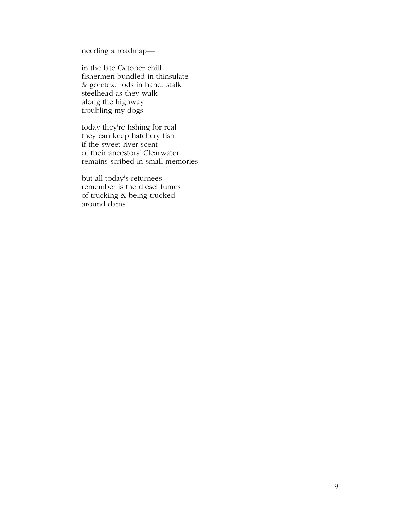needing a roadmap—

in the late October chill fishermen bundled in thinsulate & goretex, rods in hand, stalk steelhead as they walk along the highway troubling my dogs

today they're fishing for real they can keep hatchery fish if the sweet river scent of their ancestors' Clearwater remains scribed in small memories

but all today's returnees remember is the diesel fumes of trucking & being trucked around dams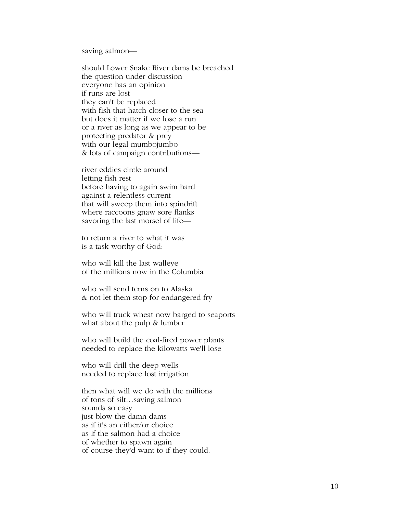saving salmon—

should Lower Snake River dams be breached the question under discussion everyone has an opinion if runs are lost they can't be replaced with fish that hatch closer to the sea but does it matter if we lose a run or a river as long as we appear to be protecting predator & prey with our legal mumbojumbo & lots of campaign contributions—

river eddies circle around letting fish rest before having to again swim hard against a relentless current that will sweep them into spindrift where raccoons gnaw sore flanks savoring the last morsel of life—

to return a river to what it was is a task worthy of God:

who will kill the last walleye of the millions now in the Columbia

who will send terns on to Alaska & not let them stop for endangered fry

who will truck wheat now barged to seaports what about the pulp & lumber

who will build the coal-fired power plants needed to replace the kilowatts we'll lose

who will drill the deep wells needed to replace lost irrigation

then what will we do with the millions of tons of silt…saving salmon sounds so easy just blow the damn dams as if it's an either/or choice as if the salmon had a choice of whether to spawn again of course they'd want to if they could.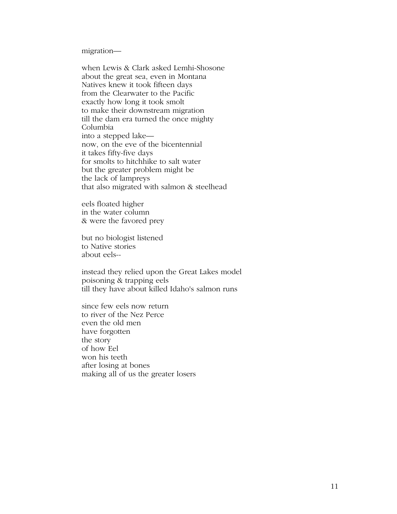migration—

when Lewis & Clark asked Lemhi-Shosone about the great sea, even in Montana Natives knew it took fifteen days from the Clearwater to the Pacific exactly how long it took smolt to make their downstream migration till the dam era turned the once mighty Columbia into a stepped lake now, on the eve of the bicentennial it takes fifty-five days for smolts to hitchhike to salt water but the greater problem might be the lack of lampreys that also migrated with salmon & steelhead

eels floated higher in the water column & were the favored prey

but no biologist listened to Native stories about eels--

instead they relied upon the Great Lakes model poisoning & trapping eels till they have about killed Idaho's salmon runs

since few eels now return to river of the Nez Perce even the old men have forgotten the story of how Eel won his teeth after losing at bones making all of us the greater losers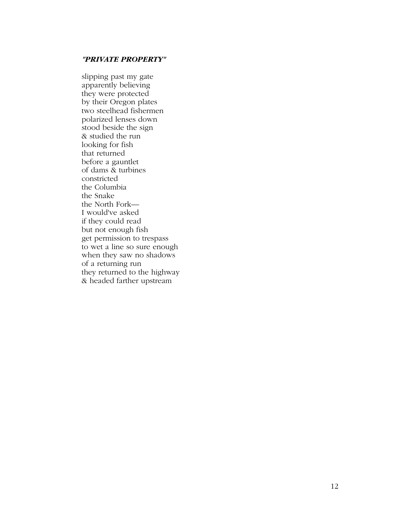#### *"PRIVATE PROPERTY"*

slipping past my gate apparently believing they were protected by their Oregon plates two steelhead fishermen polarized lenses down stood beside the sign & studied the run looking for fish that returned before a gauntlet of dams & turbines constricted the Columbia the Snake the North Fork— I would've asked if they could read but not enough fish get permission to trespass to wet a line so sure enough when they saw no shadows of a returning run they returned to the highway & headed farther upstream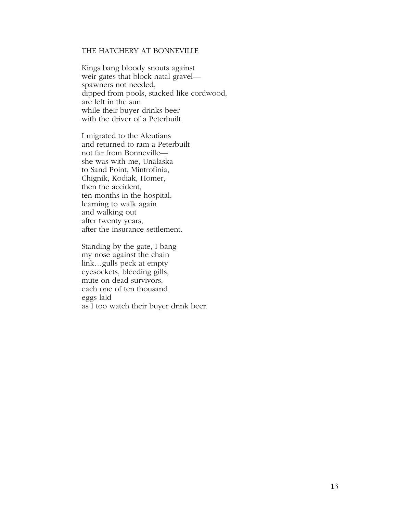### THE HATCHERY AT BONNEVILLE

Kings bang bloody snouts against weir gates that block natal gravel spawners not needed, dipped from pools, stacked like cordwood, are left in the sun while their buyer drinks beer with the driver of a Peterbuilt.

I migrated to the Aleutians and returned to ram a Peterbuilt not far from Bonneville she was with me, Unalaska to Sand Point, Mintrofinia, Chignik, Kodiak, Homer, then the accident, ten months in the hospital, learning to walk again and walking out after twenty years, after the insurance settlement.

Standing by the gate, I bang my nose against the chain link…gulls peck at empty eyesockets, bleeding gills, mute on dead survivors, each one of ten thousand eggs laid

as I too watch their buyer drink beer.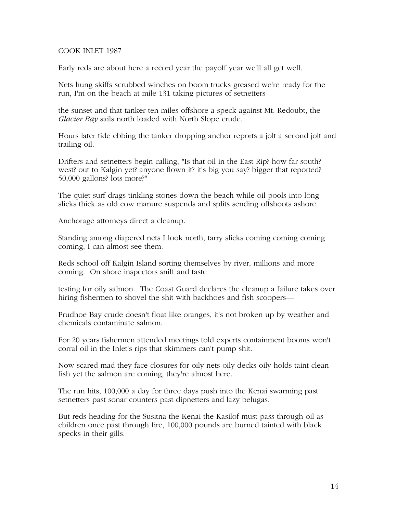#### COOK INLET 1987

Early reds are about here a record year the payoff year we'll all get well.

Nets hung skiffs scrubbed winches on boom trucks greased we're ready for the run, I'm on the beach at mile 131 taking pictures of setnetters

the sunset and that tanker ten miles offshore a speck against Mt. Redoubt, the *Glacier Bay* sails north loaded with North Slope crude.

Hours later tide ebbing the tanker dropping anchor reports a jolt a second jolt and trailing oil.

Drifters and setnetters begin calling, "Is that oil in the East Rip? how far south? west? out to Kalgin yet? anyone flown it? it's big you say? bigger that reported? 50,000 gallons? lots more?"

The quiet surf drags tinkling stones down the beach while oil pools into long slicks thick as old cow manure suspends and splits sending offshoots ashore.

Anchorage attorneys direct a cleanup.

Standing among diapered nets I look north, tarry slicks coming coming coming coming, I can almost see them.

Reds school off Kalgin Island sorting themselves by river, millions and more coming. On shore inspectors sniff and taste

testing for oily salmon. The Coast Guard declares the cleanup a failure takes over hiring fishermen to shovel the shit with backhoes and fish scoopers—

Prudhoe Bay crude doesn't float like oranges, it's not broken up by weather and chemicals contaminate salmon.

For 20 years fishermen attended meetings told experts containment booms won't corral oil in the Inlet's rips that skimmers can't pump shit.

Now scared mad they face closures for oily nets oily decks oily holds taint clean fish yet the salmon are coming, they're almost here.

The run hits, 100,000 a day for three days push into the Kenai swarming past setnetters past sonar counters past dipnetters and lazy belugas.

But reds heading for the Susitna the Kenai the Kasilof must pass through oil as children once past through fire, 100,000 pounds are burned tainted with black specks in their gills.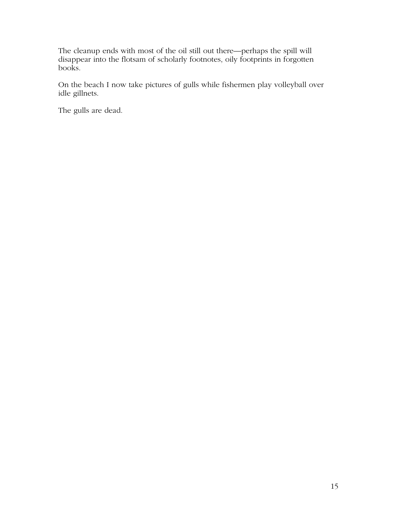The cleanup ends with most of the oil still out there—perhaps the spill will disappear into the flotsam of scholarly footnotes, oily footprints in forgotten books.

On the beach I now take pictures of gulls while fishermen play volleyball over idle gillnets.

The gulls are dead.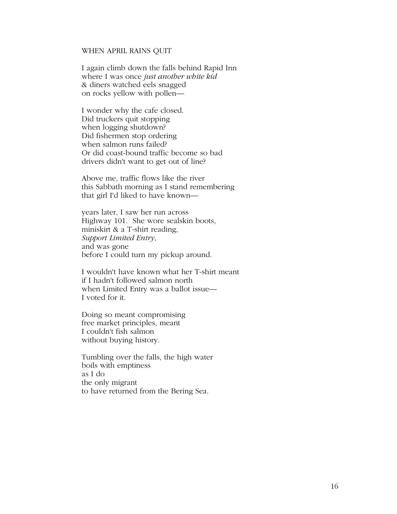#### WHEN APRIL RAINS QUIT

I again climb down the falls behind Rapid Inn where I was once *just another white kid*  & diners watched eels snagged on rocks yellow with pollen—

I wonder why the cafe closed. Did truckers quit stopping when logging shutdown? Did fishermen stop ordering when salmon runs failed? Or did coast-bound traffic become so bad drivers didn't want to get out of line?

Above me, traffic flows like the river this Sabbath morning as I stand remembering that girl I'd liked to have known—

years later, I saw her run across Highway 101. She wore sealskin boots, miniskirt & a T-shirt reading, *Support Limited Entry*, and was gone before I could turn my pickup around.

I wouldn't have known what her T-shirt meant if I hadn't followed salmon north when Limited Entry was a ballot issue— I voted for it.

Doing so meant compromising free market principles, meant I couldn't fish salmon without buying history.

Tumbling over the falls, the high water boils with emptiness as I do the only migrant to have returned from the Bering Sea.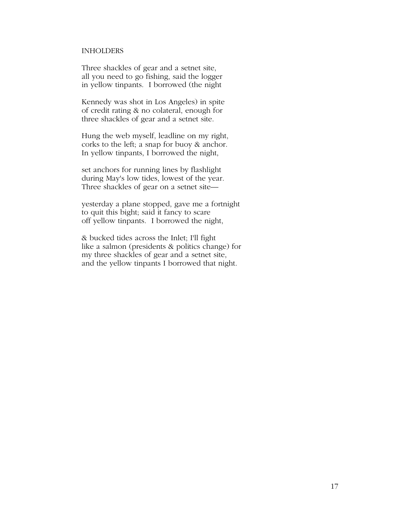#### INHOLDERS

Three shackles of gear and a setnet site, all you need to go fishing, said the logger in yellow tinpants. I borrowed (the night

Kennedy was shot in Los Angeles) in spite of credit rating & no colateral, enough for three shackles of gear and a setnet site.

Hung the web myself, leadline on my right, corks to the left; a snap for buoy & anchor. In yellow tinpants, I borrowed the night,

set anchors for running lines by flashlight during May's low tides, lowest of the year. Three shackles of gear on a setnet site—

yesterday a plane stopped, gave me a fortnight to quit this bight; said it fancy to scare off yellow tinpants. I borrowed the night,

& bucked tides across the Inlet; I'll fight like a salmon (presidents & politics change) for my three shackles of gear and a setnet site, and the yellow tinpants I borrowed that night.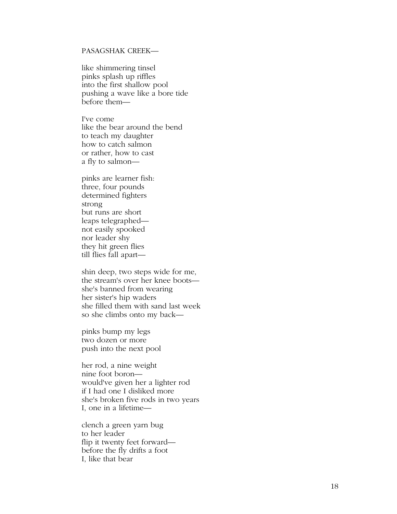#### PASAGSHAK CREEK—

like shimmering tinsel pinks splash up riffles into the first shallow pool pushing a wave like a bore tide before them—

I've come like the bear around the bend to teach my daughter how to catch salmon or rather, how to cast a fly to salmon—

pinks are learner fish: three, four pounds determined fighters strong but runs are short leaps telegraphed not easily spooked nor leader shy they hit green flies till flies fall apart—

shin deep, two steps wide for me, the stream's over her knee boots she's banned from wearing her sister's hip waders she filled them with sand last week so she climbs onto my back—

pinks bump my legs two dozen or more push into the next pool

her rod, a nine weight nine foot boron would've given her a lighter rod if I had one I disliked more she's broken five rods in two years I, one in a lifetime—

clench a green yarn bug to her leader flip it twenty feet forward before the fly drifts a foot I, like that bear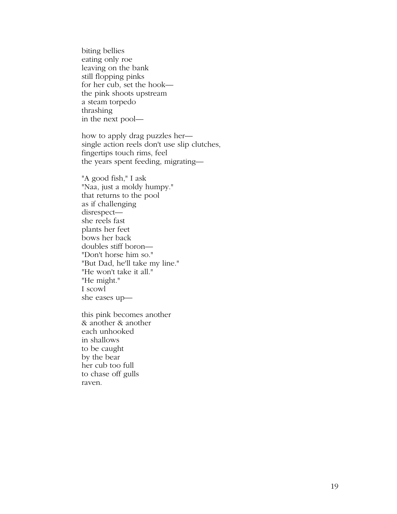biting bellies eating only roe leaving on the bank still flopping pinks for her cub, set the hook the pink shoots upstream a steam torpedo thrashing in the next pool—

how to apply drag puzzles her single action reels don't use slip clutches, fingertips touch rims, feel the years spent feeding, migrating—

"A good fish," I ask "Naa, just a moldy humpy." that returns to the pool as if challenging disrespect she reels fast plants her feet bows her back doubles stiff boron— "Don't horse him so." "But Dad, he'll take my line." "He won't take it all." "He might." I scowl she eases up—

this pink becomes another & another & another each unhooked in shallows to be caught by the bear her cub too full to chase off gulls raven.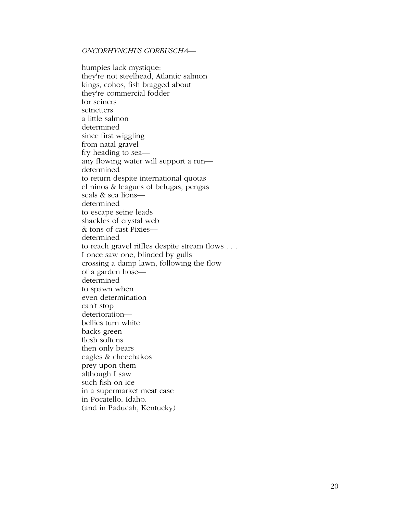#### *ONCORHYNCHUS GORBUSCHA—*

humpies lack mystique: they're not steelhead, Atlantic salmon kings, cohos, fish bragged about they're commercial fodder for seiners setnetters a little salmon determined since first wiggling from natal gravel fry heading to sea any flowing water will support a run determined to return despite international quotas el ninos & leagues of belugas, pengas seals & sea lions determined to escape seine leads shackles of crystal web & tons of cast Pixies determined to reach gravel riffles despite stream flows . . . I once saw one, blinded by gulls crossing a damp lawn, following the flow of a garden hose determined to spawn when even determination can't stop deterioration bellies turn white backs green flesh softens then only bears eagles & cheechakos prey upon them although I saw such fish on ice in a supermarket meat case in Pocatello, Idaho. (and in Paducah, Kentucky)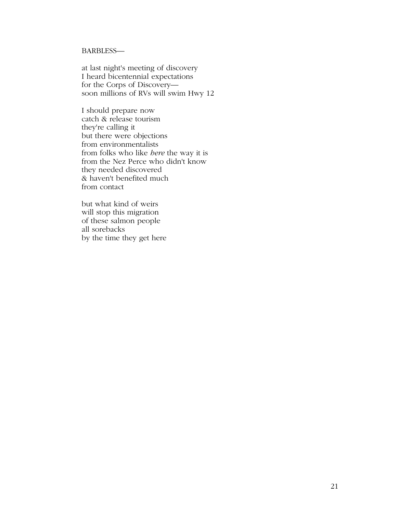#### BARBLESS—

at last night's meeting of discovery I heard bicentennial expectations for the Corps of Discovery soon millions of RVs will swim Hwy 12

I should prepare now catch & release tourism they're calling it but there were objections from environmentalists from folks who like *here* the way it is from the Nez Perce who didn't know they needed discovered & haven't benefited much from contact

but what kind of weirs will stop this migration of these salmon people all sorebacks by the time they get here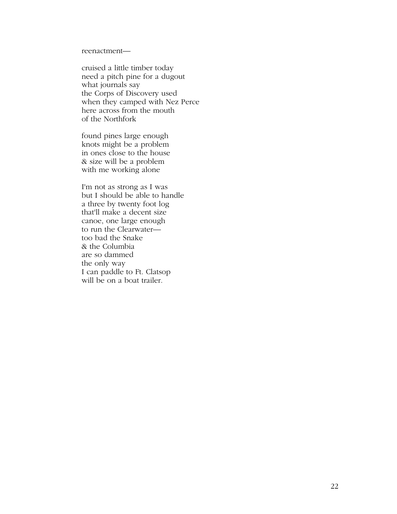reenactment—

cruised a little timber today need a pitch pine for a dugout what journals say the Corps of Discovery used when they camped with Nez Perce here across from the mouth of the Northfork

found pines large enough knots might be a problem in ones close to the house & size will be a problem with me working alone

I'm not as strong as I was but I should be able to handle a three by twenty foot log that'll make a decent size canoe, one large enough to run the Clearwater too bad the Snake & the Columbia are so dammed the only way I can paddle to Ft. Clatsop will be on a boat trailer.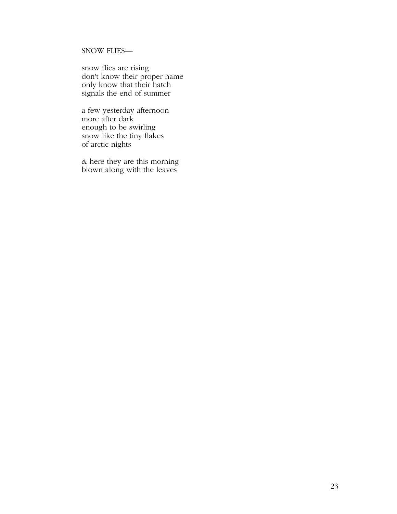## SNOW FLIES—

snow flies are rising don't know their proper name only know that their hatch signals the end of summer

a few yesterday afternoon more after dark enough to be swirling snow like the tiny flakes of arctic nights

& here they are this morning blown along with the leaves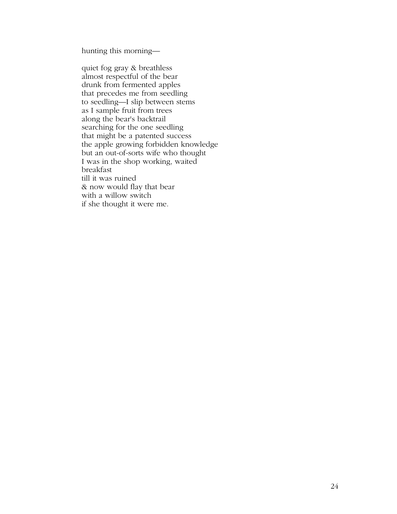hunting this morning—

quiet fog gray & breathless almost respectful of the bear drunk from fermented apples that precedes me from seedling to seedling—I slip between stems as I sample fruit from trees along the bear's backtrail searching for the one seedling that might be a patented success the apple growing forbidden knowledge but an out-of-sorts wife who thought I was in the shop working, waited breakfast till it was ruined & now would flay that bear with a willow switch if she thought it were me.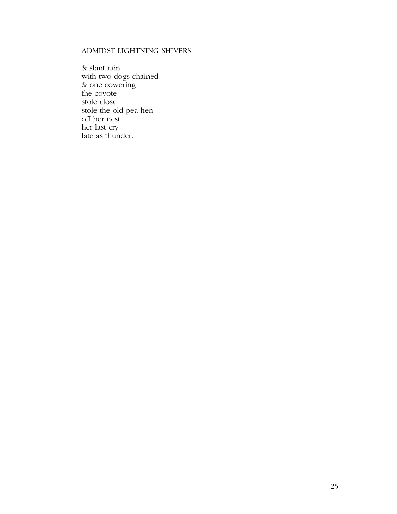## ADMIDST LIGHTNING SHIVERS

& slant rain with two dogs chained & one cowering the coyote stole close stole the old pea hen off her nest her last cry late as thunder.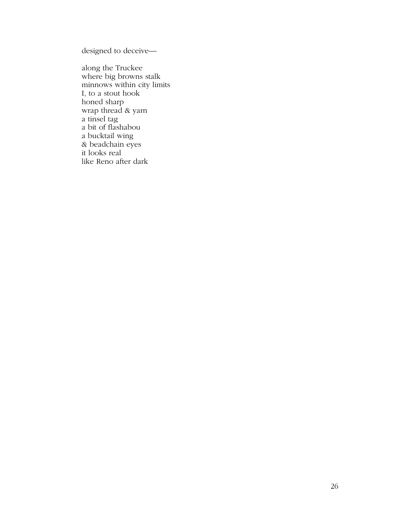designed to deceive—

along the Truckee where big browns stalk minnows within city limits I, to a stout hook honed sharp wrap thread & yarn a tinsel tag a bit of flashabou a bucktail wing & beadchain eyes it looks real like Reno after dark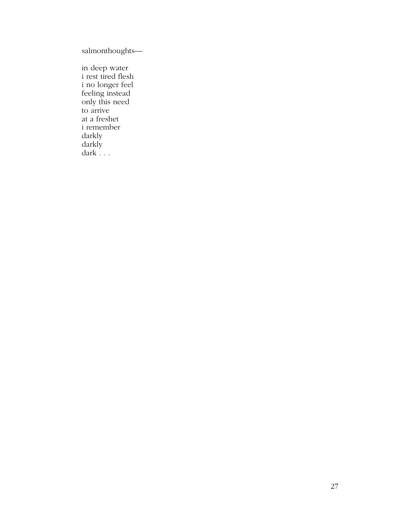salmonthoughts—

in deep water i rest tired flesh i no longer feel feeling instead only this need to arrive at a freshet i remember darkly darkly dark . . .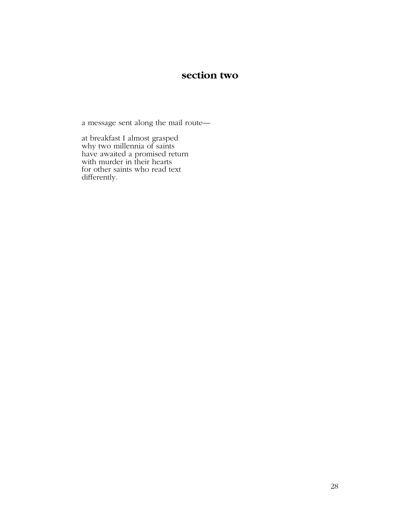## **section two**

a message sent along the mail route—

at breakfast I almost grasped why two millennia of saints have awaited a promised return with murder in their hearts for other saints who read text differently.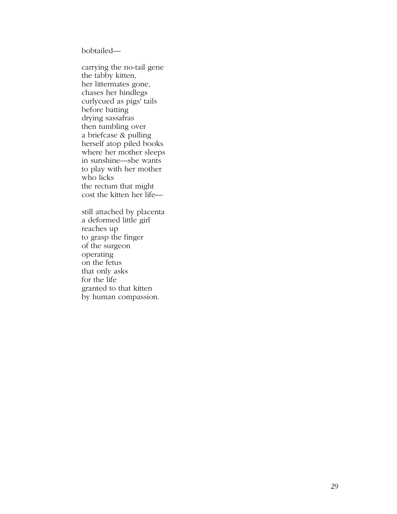bobtailed—

carrying the no-tail gene the tabby kitten, her littermates gone, chases her hindlegs curlycued as pigs' tails before batting drying sassafras then tumbling over a briefcase & pulling herself atop piled books where her mother sleeps in sunshine—she wants to play with her mother who licks the rectum that might cost the kitten her life—

still attached by placenta a deformed little girl reaches up to grasp the finger of the surgeon operating on the fetus that only asks for the life granted to that kitten by human compassion.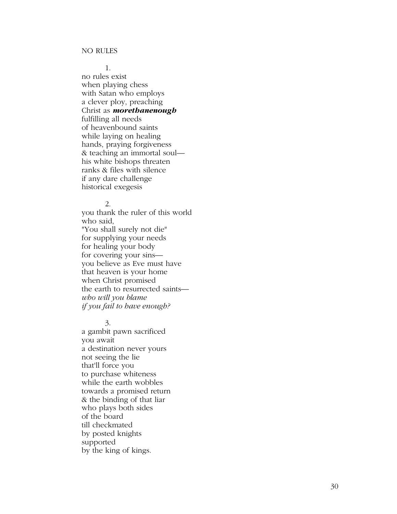1.

no rules exist when playing chess with Satan who employs a clever ploy, preaching Christ as *morethanenough*  fulfilling all needs of heavenbound saints while laying on healing hands, praying forgiveness & teaching an immortal soul his white bishops threaten ranks & files with silence if any dare challenge historical exegesis

#### 2.

you thank the ruler of this world who said, "You shall surely not die" for supplying your needs for healing your body for covering your sins you believe as Eve must have that heaven is your home when Christ promised the earth to resurrected saints *who will you blame if you fail to have enough?*

3.

a gambit pawn sacrificed you await a destination never yours not seeing the lie that'll force you to purchase whiteness while the earth wobbles towards a promised return & the binding of that liar who plays both sides of the board till checkmated by posted knights supported by the king of kings.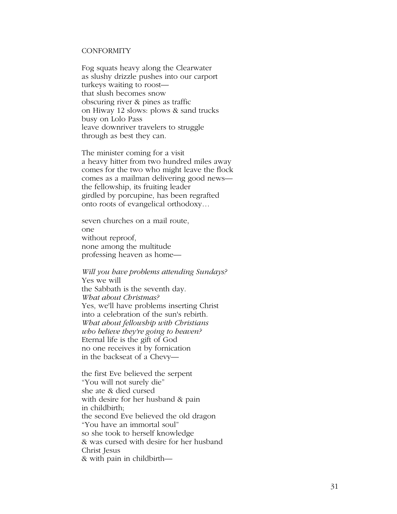#### **CONFORMITY**

Fog squats heavy along the Clearwater as slushy drizzle pushes into our carport turkeys waiting to roost that slush becomes snow obscuring river & pines as traffic on Hiway 12 slows: plows & sand trucks busy on Lolo Pass leave downriver travelers to struggle through as best they can.

The minister coming for a visit a heavy hitter from two hundred miles away comes for the two who might leave the flock comes as a mailman delivering good news the fellowship, its fruiting leader girdled by porcupine, has been regrafted onto roots of evangelical orthodoxy…

seven churches on a mail route, one without reproof, none among the multitude professing heaven as home—

*Will you have problems attending Sundays?*  Yes we will the Sabbath is the seventh day. *What about Christmas?*  Yes, we'll have problems inserting Christ into a celebration of the sun's rebirth. *What about fellowship with Christians who believe they're going to heaven?*  Eternal life is the gift of God no one receives it by fornication in the backseat of a Chevy—

the first Eve believed the serpent "You will not surely die" she ate & died cursed with desire for her husband & pain in childbirth; the second Eve believed the old dragon "You have an immortal soul" so she took to herself knowledge & was cursed with desire for her husband Christ Jesus & with pain in childbirth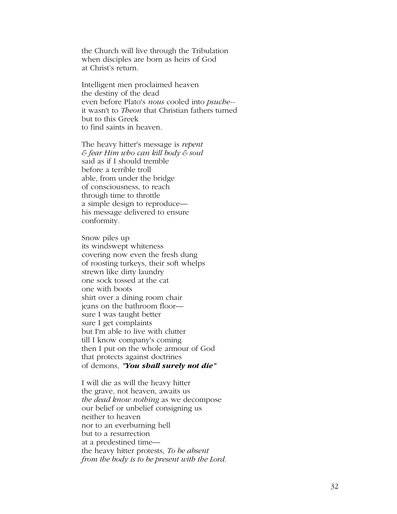the Church will live through the Tribulation when disciples are born as heirs of God at Christ's return.

Intelligent men proclaimed heaven the destiny of the dead even before Plato's *nous* cooled into *psuche-*  it wasn't to *Theon* that Christian fathers turned but to this Greek to find saints in heaven.

The heavy hitter's message is *repent & fear Him who can kill body & soul*  said as if I should tremble before a terrible troll able, from under the bridge of consciousness, to reach through time to throttle a simple design to reproduce his message delivered to ensure conformity.

Snow piles up its windswept whiteness covering now even the fresh dung of roosting turkeys, their soft whelps strewn like dirty laundry one sock tossed at the cat one with boots shirt over a dining room chair jeans on the bathroom floor sure I was taught better sure I get complaints but I'm able to live with clutter till I know company's coming then I put on the whole armour of God that protects against doctrines of demons, *"You shall surely not die"* 

I will die as will the heavy hitter the grave, not heaven, awaits us *the dead know nothing* as we decompose our belief or unbelief consigning us neither to heaven nor to an everburning hell but to a resurrection at a predestined time the heavy hitter protests, *To be absent from the body is to be present with the Lord*.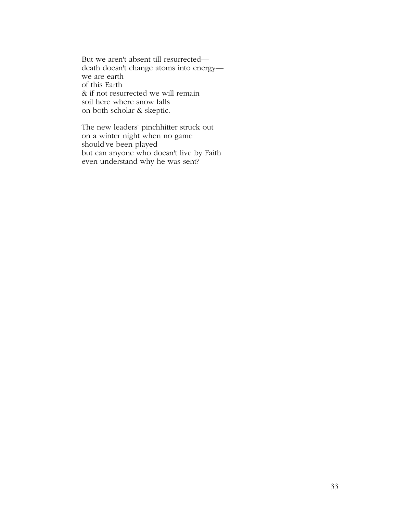But we aren't absent till resurrected death doesn't change atoms into energy we are earth of this Earth & if not resurrected we will remain soil here where snow falls on both scholar & skeptic.

The new leaders' pinchhitter struck out on a winter night when no game should've been played but can anyone who doesn't live by Faith even understand why he was sent?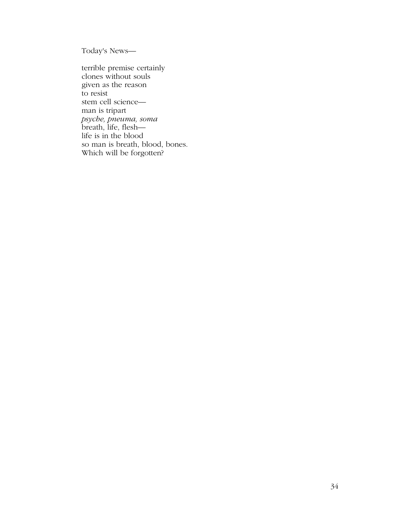Today's News—

terrible premise certainly clones without souls given as the reason to resist stem cell science man is tripart *psyche, pneuma, soma*  breath, life, flesh life is in the blood so man is breath, blood, bones. Which will be forgotten?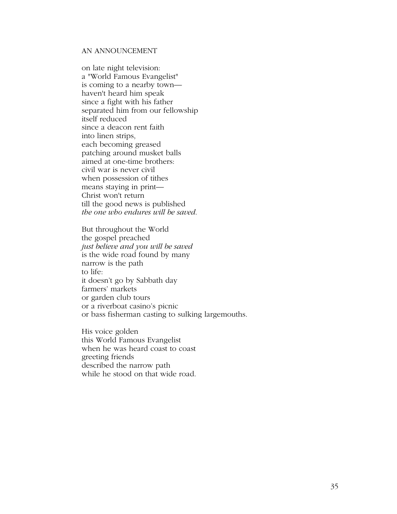#### AN ANNOUNCEMENT

on late night television: a "World Famous Evangelist" is coming to a nearby town haven't heard him speak since a fight with his father separated him from our fellowship itself reduced since a deacon rent faith into linen strips, each becoming greased patching around musket balls aimed at one-time brothers: civil war is never civil when possession of tithes means staying in print— Christ won't return till the good news is published *the one who endures will be saved*.

But throughout the World the gospel preached *just believe and you will be saved*  is the wide road found by many narrow is the path to life: it doesn't go by Sabbath day farmers' markets or garden club tours or a riverboat casino's picnic or bass fisherman casting to sulking largemouths.

His voice golden this World Famous Evangelist when he was heard coast to coast greeting friends described the narrow path while he stood on that wide road.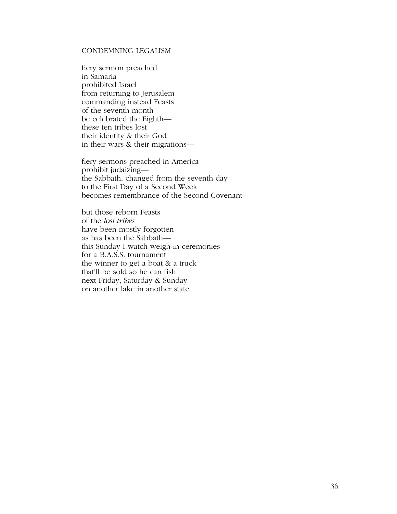### CONDEMNING LEGALISM

fiery sermon preached in Samaria prohibited Israel from returning to Jerusalem commanding instead Feasts of the seventh month be celebrated the Eighth these ten tribes lost their identity & their God in their wars & their migrations—

fiery sermons preached in America prohibit judaizing the Sabbath, changed from the seventh day to the First Day of a Second Week becomes remembrance of the Second Covenant—

but those reborn Feasts of the *lost tribes*  have been mostly forgotten as has been the Sabbath this Sunday I watch weigh-in ceremonies for a B.A.S.S. tournament the winner to get a boat & a truck that'll be sold so he can fish next Friday, Saturday & Sunday on another lake in another state.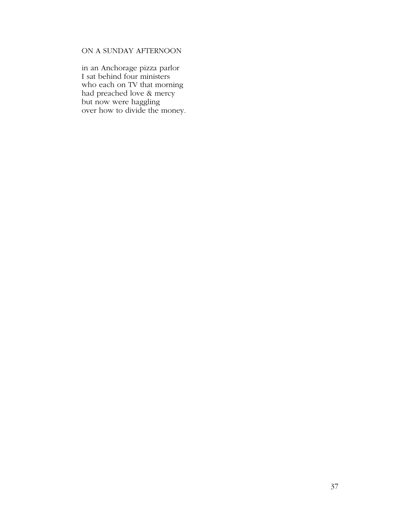## ON A SUNDAY AFTERNOON

in an Anchorage pizza parlor I sat behind four ministers who each on TV that morning had preached love & mercy but now were haggling over how to divide the money.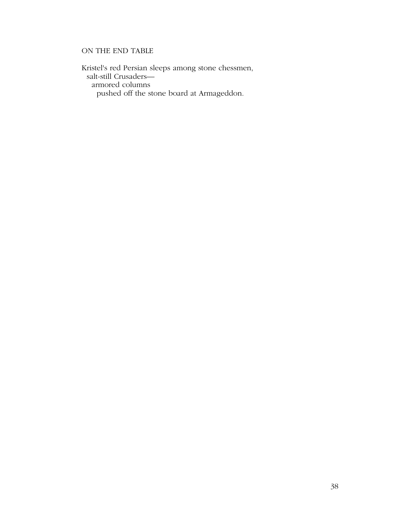## ON THE END TABLE

Kristel's red Persian sleeps among stone chessmen, salt-still Crusaders armored columns pushed off the stone board at Armageddon.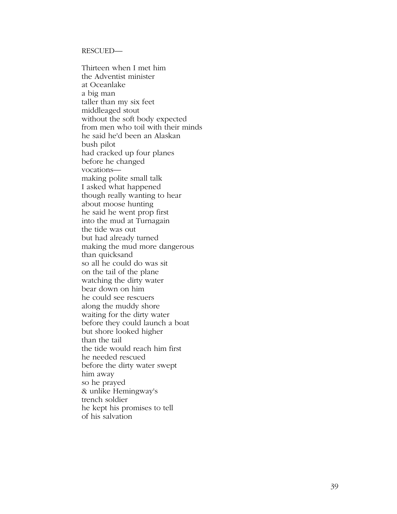#### RESCUED—

Thirteen when I met him the Adventist minister at Oceanlake a big man taller than my six feet middleaged stout without the soft body expected from men who toil with their minds he said he'd been an Alaskan bush pilot had cracked up four planes before he changed vocations making polite small talk I asked what happened though really wanting to hear about moose hunting he said he went prop first into the mud at Turnagain the tide was out but had already turned making the mud more dangerous than quicksand so all he could do was sit on the tail of the plane watching the dirty water bear down on him he could see rescuers along the muddy shore waiting for the dirty water before they could launch a boat but shore looked higher than the tail the tide would reach him first he needed rescued before the dirty water swept him away so he prayed & unlike Hemingway's trench soldier he kept his promises to tell of his salvation